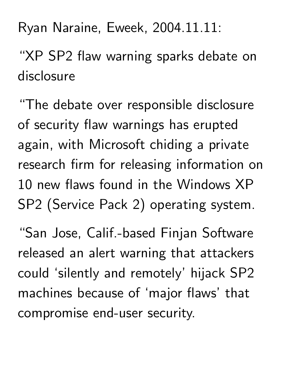Ryan Naraine, Eweek, 2004.11.11:

"XP SP2 flaw warning sparks debate on disclosure

"The debate over responsible disclosure of security flaw warnings has erupted again, with Microsoft chiding a private research firm for releasing information on 10 new flaws found in the Windows XP SP2 (Service Pack 2) operating system.

"San Jose, Calif.-based Finjan Software released an alert warning that attackers could 'silently and remotely' hijack SP2 machines because of 'major flaws' that compromise end-user security.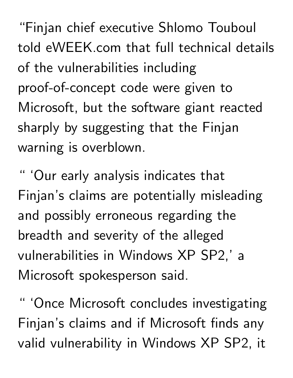"Finjan chief executive Shlomo Touboul told eWEEK.com that full technical details of the vulnerabilities including proof-of-concept code were given to Microsoft, but the software giant reacted sharply by suggesting that the Finjan warning is overblown.

" 'Our early analysis indicates that Finjan's claims are potentially misleading and possibly erroneous regarding the breadth and severity of the alleged vulnerabilities in Windows XP SP2,' a Microsoft spokesperson said.

'Once Microsoft concludes investigating Finjan's claims and if Microsoft finds any valid vulnerability in Windows XP SP2, it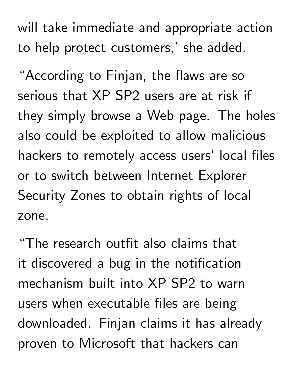will take immediate and appropriate action to help protect customers,' she added.

"According to Finjan, the flaws are so serious that XP SP2 users are at risk if they simply browse a Web page. The holes also could be exploited to allow malicious hackers to remotely access users' local files or to switch between Internet Explorer Security Zones to obtain rights of local zone.

"The research outfit also claims that it discovered a bug in the notification mechanism built into XP SP2 to warn users when executable files are being downloaded. Finjan claims it has already proven to Microsoft that hackers can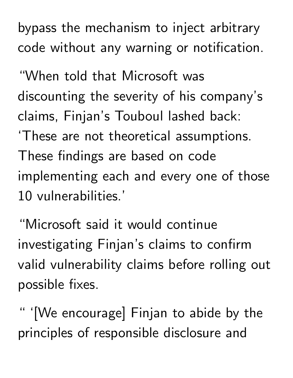bypass the mechanism to inject arbitrary code without any warning or notification.

"When told that Microsoft was discounting the severity of his company's claims, Finjan's Touboul lashed back: 'These are not theoretical assumptions. These findings are based on code implementing each and every one of those 10 vulnerabilities.'

"Microsoft said it would continue investigating Finjan's claims to confirm valid vulnerability claims before rolling out possible fixes.

" '[We encourage] Finjan to abide by the principles of responsible disclosure and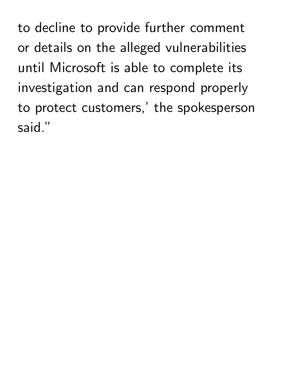to decline to provide further comment or details on the alleged vulnerabilities until Microsoft is able to complete its investigation and can respond properly to protect customers,' the spokesperson said."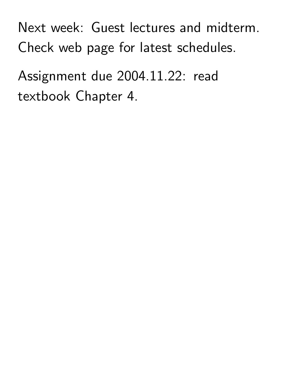Next week: Guest lectures and midterm. Check web page for latest schedules.

Assignment due 2004.11.22: read textbook Chapter 4.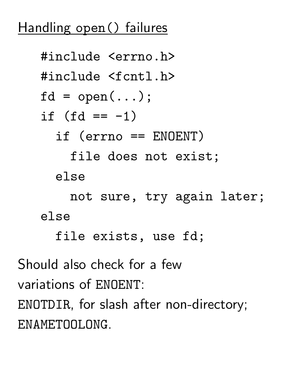## Handling open() failures



ENAMETOOLONG.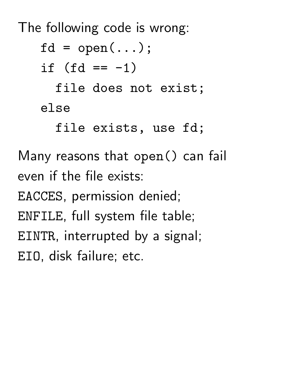The following code is wrong:

 $fd = open(...);$ if  $(fd == -1)$ file does not exist; else file exists, use fd; Many reasons that open() can fail

even if the file exists:

EACCES, permission denied;

ENFILE, full system file table;

EINTR, interrupted by a signal;

EIO, disk failure; etc.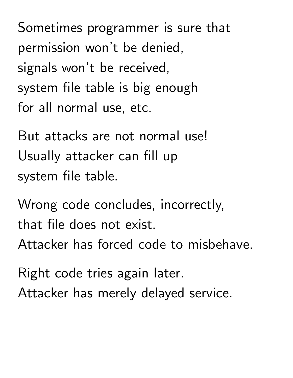Sometimes programmer is sure that permission won't be denied, signals won't be received, system file table is big enough for all normal use, etc.

But attacks are not normal use! Usually attacker can fill up system file table.

Wrong code concludes, incorrectly, that file does not exist. Attacker has forced code to misbehave.

Right code tries again later. Attacker has merely delayed service.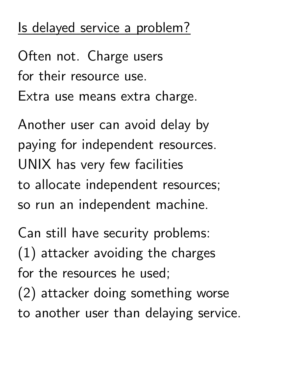# Is delayed service a problem?

Often not. Charge users for their resource use. Extra use means extra charge.

Another user can avoid delay by paying for independent resources. UNIX has very few facilities to allocate independent resources; so run an independent machine.

Can still have security problems: (1) attacker avoiding the charges for the resources he used; (2) attacker doing something worse to another user than delaying service.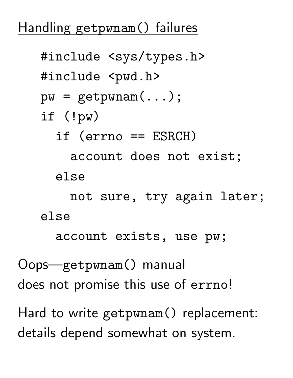#### Handling getpwnam() failures

```
#include <sys/types.h>
   #include <pwd.h>
   pw = getpwnam(\ldots);if (!pw)
     if (errno == ESRCH)
       account does not exist;
     else
       not sure, try again later;
   else
     account exists, use pw;
Oops—getpwnam() manual
does not promise this use of errno!
Hard to write getpwnam() replacement:
```
details depend somewhat on system.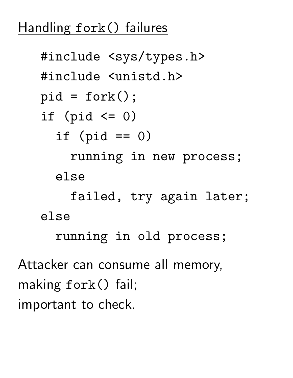## Handling fork() failures

```
#include <sys/types.h>
   #include <unistd.h>
   pid = fork();
   if (pid \leq 0)
     if (pid == 0)running in new process;
     else
       failed, try again later;
   else
     running in old process;
Attacker can consume all memory,
making fork() fail;
important to check.
```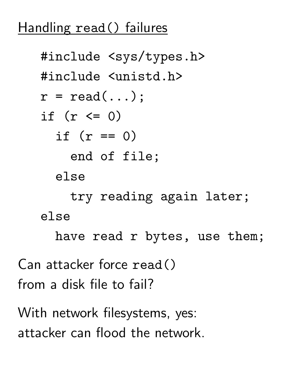## Handling read() failures

```
#include <sys/types.h>
   #include <unistd.h>
   r = read(...);if (r \le 0)if (r == 0)end of file;
     else
       try reading again later;
   else
     have read r bytes, use them;
Can attacker force read()
from a disk file to fail?
With network filesystems, yes:
```
attacker can flood the network.